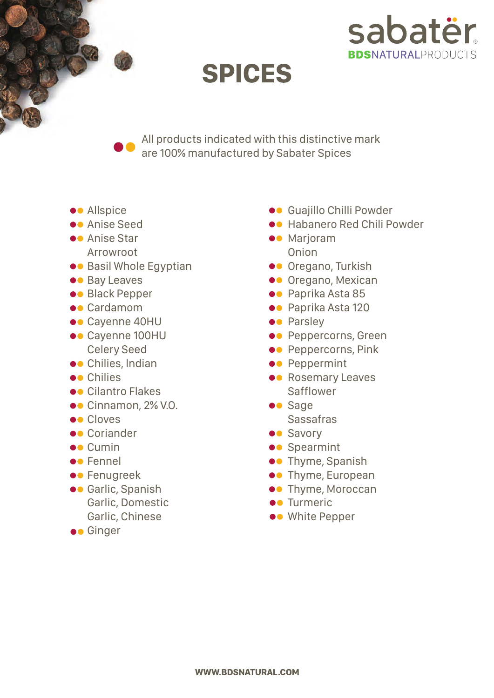

## **SPICES**

All products indicated with this distinctive mark are 100% manufactured by Sabater Spices

- **•** Allspice
- **Co** Anise Seed
- **O** Anise Star Arrowroot
- **••** Basil Whole Egyptian
- $\bullet$  Bay Leaves
- **••** Black Pepper
- **•** Cardamom
- ●● Cayenne 40HU
- ●● Cayenne 100HU Celery Seed
- **•** Chilies, Indian
- **e** Chilies
- $\bullet$  Cilantro Flakes
- ●● Cinnamon, 2% V.O.
- **OC** Cloves
- **•** Coriander
- **O** Cumin
- **•** Fennel
- **••** Fenugreek
- **••** Garlic, Spanish Garlic, Domestic Garlic, Chinese
- $\bullet$  Ginger
- $\bullet$  Guajillo Chilli Powder
- **••** Habanero Red Chili Powder
- $\bullet$  Marioram Onion
- **Oregano, Turkish**
- $\bullet$  Oregano, Mexican
- **•** Paprika Asta 85
- **•** Paprika Asta 120
- **•** Parsley
- **••** Peppercorns, Green
- **••** Peppercorns, Pink
- **•** Peppermint
- **•** Rosemary Leaves Safflower
- **O** Sage Sassafras
- **OO** Savory
- **••** Spearmint
- **••** Thyme, Spanish
- **••** Thyme, European
- **••** Thyme, Moroccan
- $\bullet$  Turmeric
- $\bullet\bullet$  White Pepper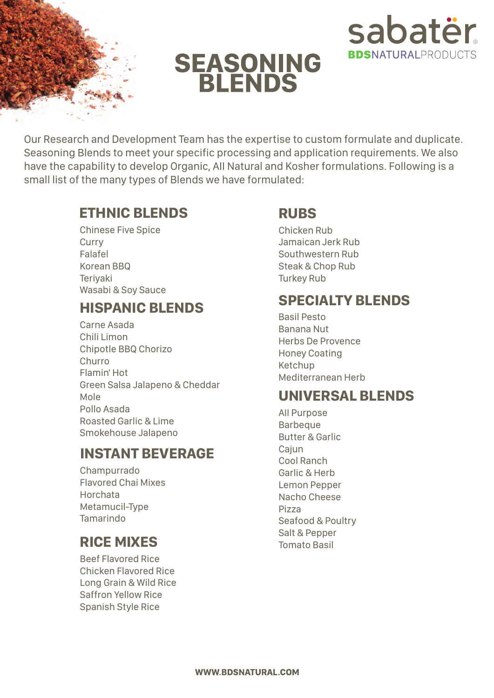

# **SEASONING<br>BLENDS**



Our Research and Development Team has the expertise to custom formulate and duplicate. Seasoning Blends to meet your specific processing and application requirements. We also have the capability to develop Organic, AII Natural and Kosher formulations. Following is a small list of the many types of Blends we have formulated:

#### **ETHNIC BLENDS**

Chinese Five Spice **Curry** Falafel Korean BBQ **Terivaki** Wasabi & Soy Sauce

#### **HISPANIC BLENDS**

Carne Asada Chili Limon Chipotle BBQ Chorizo Churro Flamin' Hot Green Salsa Jalapeno & Cheddar Mole Pollo Asada Roasted Garlic & Lime Smokehouse Jalapeno

#### **INSTANT BEVERAGE**

Champurrado Flavored Chai Mixes Horchata Metamucil-Type Tamarindo

### **RICE MIXES**

Beef Flavored Rice Chicken Flavored Rice Long Grain & Wild Rice Saffron Yellow Rice Spanish Style Rice

#### **RUBS**

Chicken Rub Jamaican Jerk Rub Southwestern Rub Steak & Chop Rub Turkey Rub

#### **SPECIALTY BLENDS**

Basil Pesto Banana Nut Herbs De Provence Honey Coating Ketchup Mediterranean Herb

#### **UNIVERSAL BLENDS**

AII Purpose **Barbeque** Butter & Garlic Cajun Cool Ranch Garlic & Herb Lemon Pepper Nacho Cheese Pizza Seafood & Poultry Salt & Pepper Tomato Basil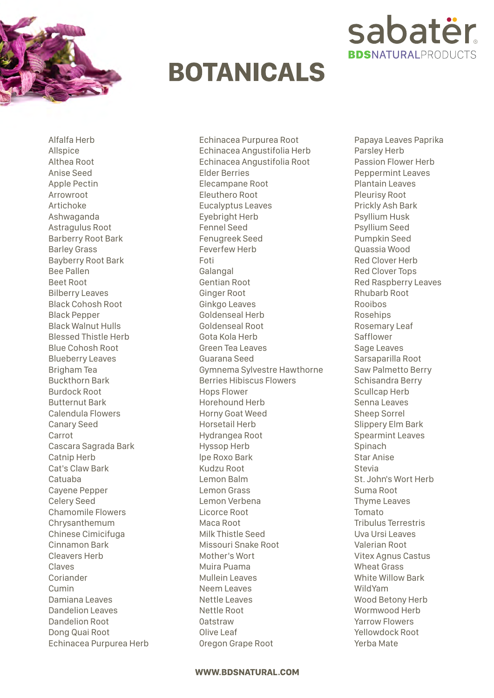

## **BOTANICALS**



Echinacea Purpurea Root Echinacea Angustifolia Herb Echinacea Angustifolia Root Elder Berries Elecampane Root Eleuthero Root Eucalyptus Leaves Eyebright Herb Fennel Seed Fenugreek Seed Feverfew Herb Foti Galangal Gentian Root Ginger Root Ginkgo Leaves Goldenseal Herb Goldenseal Root Gota Kola Herb Green Tea Leaves Guarana Seed Gymnema Sylvestre Hawthorne Berries Hibiscus Flowers Hops Flower Horehound Herb Horny Goat Weed Horsetail Herb Hydrangea Root Hyssop Herb lpe Roxo Bark Kudzu Root Lemon Balm Lemon Grass Lemon Verbena Licorce Root Maca Root Milk Thistle Seed Missouri Snake Root Mother's Wort Muira Puama Mullein Leaves Neem Leaves Nettle Leaves Nettle Root 0atstraw Olive Leaf 0regon Grape Root



Papaya Leaves Paprika Parsley Herb Passion Flower Herb Peppermint Leaves Plantain Leaves Pleurisy Root Prickly Ash Bark Psyllium Husk Psyllium Seed Pumpkin Seed Quassia Wood Red Clover Herb Red Clover Tops Red Raspberry Leaves Rhubarb Root Rooibos Rosehips Rosemary Leaf Safflower Sage Leaves Sarsaparilla Root Saw Palmetto Berry Schisandra Berry Scullcap Herb Senna Leaves Sheep Sorrel Slippery Elm Bark Spearmint Leaves Spinach Star Anise Stevia St. John's Wort Herb Suma Root Thyme Leaves Tomato Tribulus Terrestris Uva Ursi Leaves Valerian Root Vitex Agnus Castus Wheat Grass White Willow Bark WildYam Wood Betony Herb Wormwood Herb Yarrow Flowers Yellowdock Root Yerba Mate

#### **WWW.BDSNATURAL.COM**